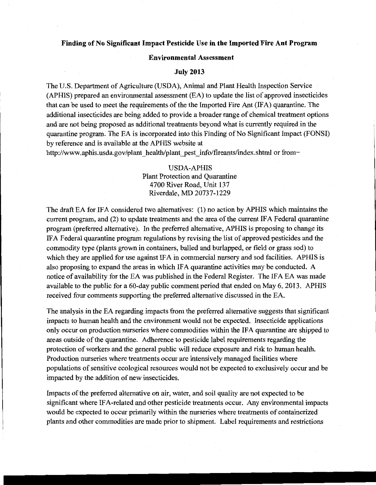## **Finding of No Significant Impact Pesticide** Use **in the Imported Fire Ant Program**

## **Environmental** Assessment

## **July 2013**

The U.S. Department of Agriculture (USDA), Animal and Plant Health Inspection Service (APHIS) prepared an environmental assessment (EA) to update the list of approved insecticides that can be used to meet the requirements of the the Imported Fire Ant (IFA) quarantine. The additional insecticides are being added to provide a broader range of chemical treatment options and are not being proposed as additional treatments beyond what is currently required in the quarantine program. The EA is incorporated into this Finding of No Significant Impact (FONSI) by reference and is available at the APHIS website at

http://www.aphis.usda.gov/plant\_health/plant\_pest\_ info/fireants/index.shtml or from-

## USDA-APHIS Plant Protection and Quarantine 4700 River Road, Unit 137 Riverdale, MD 20737-1229

The draft EA for IFA considered two alternatives: (1) no action by APHIS which maintains the current program, and (2) to update treatments and the area of the current IFA Federal quarantine program (preferred alternative). In the preferred alternative, APHIS is proposing to change its IF A Federal quarantine program regulations by revising the list of approved pesticides and the commodity type (plants grown in containers, balled and burlapped, or field or grass sod) to which they are applied for use against IFA in commercial nursery and sod facilities. APHIS is also proposing to expand the areas in which IF A quarantine activities may be conducted. A notice of availability for the EA was published in the Federal Register. The IFA EA was made available to the public for a 60-day public comment period that ended on May 6, 2013. APHIS received four comments supporting the preferred alternative discussed in the EA.

The analysis in the EA regarding impacts from the preferred alternative suggests that significant impacts to human health and the environment would not be expected. Insecticide applications only occur on production nurseries where commodities within the IF A quarantine are shipped to areas outside of the quarantine. Adherence to pesticide label requirements regarding the protection of workers and the general public will reduce exposure and risk to human health. Production nurseries where treatments occur are intensively managed facilities where populations of sensitive ecological resources would not be expected to exclusively occur and be impacted by the addition of new insecticides.

Impacts of the preferred alternative on air, water, and soil quality are not expected to be significant where IF A-related and other pesticide treatments occur. Any environmental impacts would be expected to occur primarily within the nurseries where treatments of containerized plants and other commodities are made prior to shipment. Label requirements and restrictions